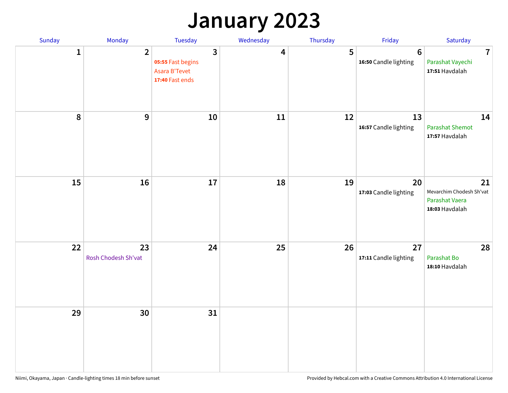## **January 2023**

| Sunday    | Monday                    | Tuesday                                                                        | Wednesday | Thursday | Friday                                   | Saturday                                                           |
|-----------|---------------------------|--------------------------------------------------------------------------------|-----------|----------|------------------------------------------|--------------------------------------------------------------------|
| 1         | $\overline{2}$            | $\overline{3}$<br>05:55 Fast begins<br><b>Asara B'Tevet</b><br>17:40 Fast ends | 4         | 5        | $6\phantom{1}6$<br>16:50 Candle lighting | $\overline{7}$<br>Parashat Vayechi<br>17:51 Havdalah               |
| $\pmb{8}$ | 9                         | 10                                                                             | 11        | 12       | 13<br>16:57 Candle lighting              | 14<br><b>Parashat Shemot</b><br>17:57 Havdalah                     |
| 15        | 16                        | 17                                                                             | 18        | 19       | 20<br>17:03 Candle lighting              | 21<br>Mevarchim Chodesh Sh'vat<br>Parashat Vaera<br>18:03 Havdalah |
| 22        | 23<br>Rosh Chodesh Sh'vat | 24                                                                             | 25        | 26       | 27<br>17:11 Candle lighting              | 28<br>Parashat Bo<br>18:10 Havdalah                                |
| 29        | 30                        | 31                                                                             |           |          |                                          |                                                                    |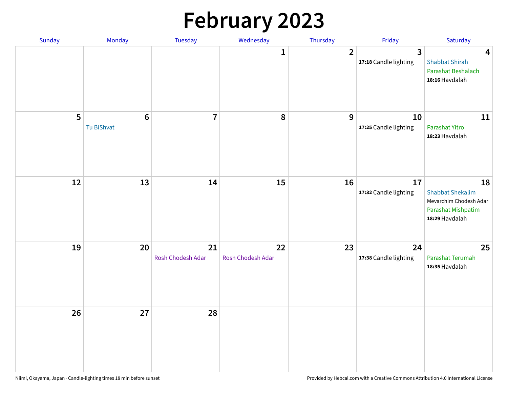# **February 2023**

| Sunday | Monday                        | Tuesday                 | Wednesday               | Thursday       | Friday                      | Saturday                                                                                        |
|--------|-------------------------------|-------------------------|-------------------------|----------------|-----------------------------|-------------------------------------------------------------------------------------------------|
|        |                               |                         | 1                       | $\overline{2}$ | 3<br>17:18 Candle lighting  | 4<br><b>Shabbat Shirah</b><br>Parashat Beshalach<br>18:16 Havdalah                              |
| 5      | $6\phantom{1}6$<br>Tu BiShvat | $\overline{7}$          | 8                       | 9              | 10<br>17:25 Candle lighting | 11<br>Parashat Yitro<br>18:23 Havdalah                                                          |
| 12     | 13                            | 14                      | 15                      | 16             | 17<br>17:32 Candle lighting | 18<br><b>Shabbat Shekalim</b><br>Mevarchim Chodesh Adar<br>Parashat Mishpatim<br>18:29 Havdalah |
| 19     | 20                            | 21<br>Rosh Chodesh Adar | 22<br>Rosh Chodesh Adar | 23             | 24<br>17:38 Candle lighting | 25<br>Parashat Terumah<br>18:35 Havdalah                                                        |
| 26     | 27                            | 28                      |                         |                |                             |                                                                                                 |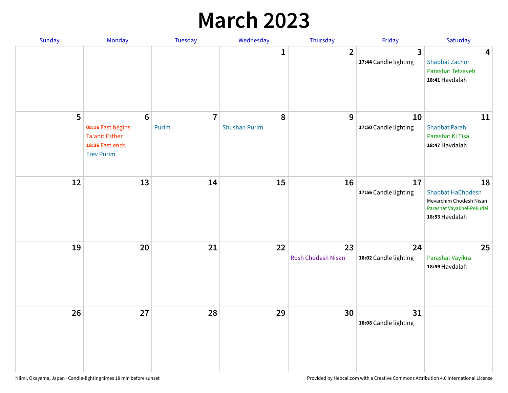## **March 2023**

| Sunday | Monday                                                                                               | Tuesday                 | Wednesday                 | Thursday                 | Friday                      | Saturday                                                                                                 |
|--------|------------------------------------------------------------------------------------------------------|-------------------------|---------------------------|--------------------------|-----------------------------|----------------------------------------------------------------------------------------------------------|
|        |                                                                                                      |                         | 1                         | $\overline{2}$           | 3<br>17:44 Candle lighting  | $\overline{\mathbf{4}}$<br><b>Shabbat Zachor</b><br>Parashat Tetzaveh<br>18:41 Havdalah                  |
| 5      | $6\phantom{a}$<br>05:16 Fast begins<br><b>Ta'anit Esther</b><br>18:36 Fast ends<br><b>Erev Purim</b> | $\overline{7}$<br>Purim | 8<br><b>Shushan Purim</b> | 9                        | 10<br>17:50 Candle lighting | 11<br><b>Shabbat Parah</b><br>Parashat Ki Tisa<br>18:47 Havdalah                                         |
| 12     | 13                                                                                                   | 14                      | 15                        | 16                       | 17<br>17:56 Candle lighting | 18<br><b>Shabbat HaChodesh</b><br>Mevarchim Chodesh Nisan<br>Parashat Vayakhel-Pekudei<br>18:53 Havdalah |
| 19     | 20                                                                                                   | 21                      | 22                        | 23<br>Rosh Chodesh Nisan | 24<br>18:02 Candle lighting | 25<br>Parashat Vayikra<br>18:59 Havdalah                                                                 |
| 26     | 27                                                                                                   | 28                      | 29                        | 30                       | 31<br>18:08 Candle lighting |                                                                                                          |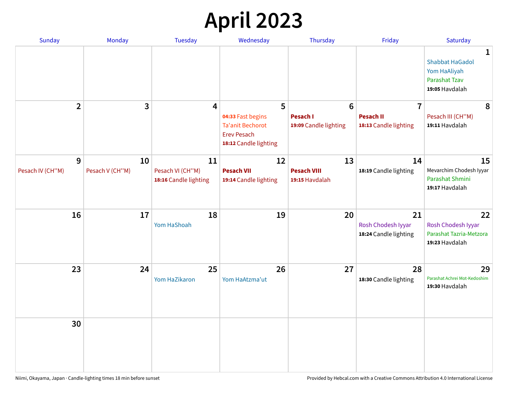# **April 2023**

| Sunday                | Monday                | <b>Tuesday</b>                                  | Wednesday                                                                                   | Thursday                                   | Friday                                            | Saturday                                                                                         |
|-----------------------|-----------------------|-------------------------------------------------|---------------------------------------------------------------------------------------------|--------------------------------------------|---------------------------------------------------|--------------------------------------------------------------------------------------------------|
|                       |                       |                                                 |                                                                                             |                                            |                                                   | $\mathbf{1}$<br><b>Shabbat HaGadol</b><br>Yom HaAliyah<br><b>Parashat Tzav</b><br>19:05 Havdalah |
| $\overline{2}$        | 3                     | 4                                               | 5                                                                                           | $6\phantom{1}$                             | $\overline{7}$                                    | 8                                                                                                |
|                       |                       |                                                 | 04:33 Fast begins<br><b>Ta'anit Bechorot</b><br><b>Erev Pesach</b><br>18:12 Candle lighting | <b>Pesach I</b><br>19:09 Candle lighting   | <b>Pesach II</b><br>18:13 Candle lighting         | Pesach III (CH"M)<br>19:11 Havdalah                                                              |
| 9<br>Pesach IV (CH"M) | 10<br>Pesach V (CH"M) | 11<br>Pesach VI (CH"M)<br>18:16 Candle lighting | 12<br><b>Pesach VII</b><br>19:14 Candle lighting                                            | 13<br><b>Pesach VIII</b><br>19:15 Havdalah | 14<br>18:19 Candle lighting                       | 15<br>Mevarchim Chodesh Iyyar<br>Parashat Shmini<br>19:17 Havdalah                               |
| 16                    | 17                    | 18<br>Yom HaShoah                               | 19                                                                                          | 20                                         | 21<br>Rosh Chodesh Iyyar<br>18:24 Candle lighting | 22<br>Rosh Chodesh Iyyar<br>Parashat Tazria-Metzora<br>19:23 Havdalah                            |
| 23                    | 24                    | 25<br>Yom HaZikaron                             | 26<br>Yom HaAtzma'ut                                                                        | 27                                         | 28<br>18:30 Candle lighting                       | 29<br>Parashat Achrei Mot-Kedoshim<br>19:30 Havdalah                                             |
| 30                    |                       |                                                 |                                                                                             |                                            |                                                   |                                                                                                  |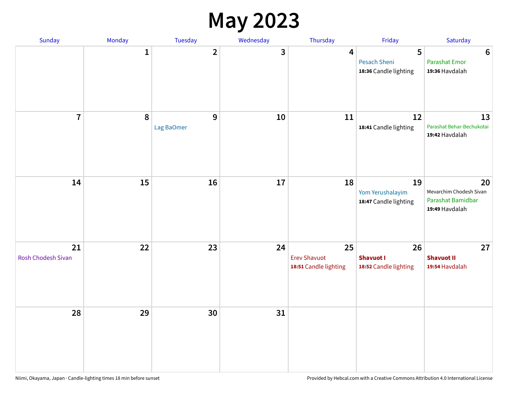#### **May 2023**

| Sunday                   | Monday       | Tuesday         | Wednesday               | Thursday                                           | Friday                                            | Saturday                                                             |
|--------------------------|--------------|-----------------|-------------------------|----------------------------------------------------|---------------------------------------------------|----------------------------------------------------------------------|
|                          | $\mathbf{1}$ | $\overline{2}$  | $\overline{\mathbf{3}}$ | $\overline{\mathbf{4}}$                            | 5<br><b>Pesach Sheni</b><br>18:36 Candle lighting | $\boldsymbol{6}$<br><b>Parashat Emor</b><br>19:36 Havdalah           |
| $\overline{7}$           | $\pmb{8}$    | 9<br>Lag BaOmer | 10                      | 11                                                 | 12<br>18:41 Candle lighting                       | 13<br>Parashat Behar-Bechukotai<br>19:42 Havdalah                    |
| 14                       | 15           | 16              | $17\,$                  | 18                                                 | 19<br>Yom Yerushalayim<br>18:47 Candle lighting   | 20<br>Mevarchim Chodesh Sivan<br>Parashat Bamidbar<br>19:49 Havdalah |
| 21<br>Rosh Chodesh Sivan | 22           | 23              | 24                      | 25<br><b>Erev Shavuot</b><br>18:51 Candle lighting | 26<br><b>Shavuot I</b><br>18:52 Candle lighting   | 27<br><b>Shavuot II</b><br>19:54 Havdalah                            |
| 28                       | 29           | 30              | 31                      |                                                    |                                                   |                                                                      |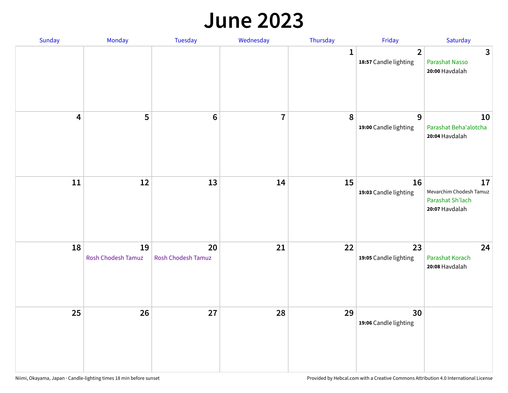#### **June 2023**

| Sunday                  | Monday                   | Tuesday                         | Wednesday      | Thursday    | Friday                                  | Saturday                                                            |
|-------------------------|--------------------------|---------------------------------|----------------|-------------|-----------------------------------------|---------------------------------------------------------------------|
|                         |                          |                                 |                | $\mathbf 1$ | $\overline{2}$<br>18:57 Candle lighting | $\overline{3}$<br>Parashat Nasso<br>20:00 Havdalah                  |
| $\overline{\mathbf{4}}$ | 5                        | $\bf 6$                         | $\overline{7}$ | 8           | 9<br>19:00 Candle lighting              | 10<br>Parashat Beha'alotcha<br>20:04 Havdalah                       |
| ${\bf 11}$              | 12                       | 13                              | 14             | 15          | 16<br>19:03 Candle lighting             | 17<br>Mevarchim Chodesh Tamuz<br>Parashat Sh'lach<br>20:07 Havdalah |
| 18                      | 19<br>Rosh Chodesh Tamuz | 20<br><b>Rosh Chodesh Tamuz</b> | 21             | 22          | 23<br>19:05 Candle lighting             | 24<br>Parashat Korach<br>20:08 Havdalah                             |
| 25                      | 26                       | 27                              | 28             | 29          | 30<br>19:06 Candle lighting             |                                                                     |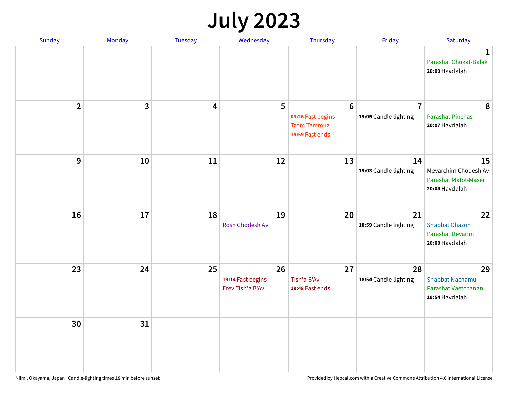# **July 2023**

| Sunday                  | Monday       | <b>Tuesday</b>          | Wednesday                                   | Thursday                                                                      | Friday                                  | Saturday                                                              |
|-------------------------|--------------|-------------------------|---------------------------------------------|-------------------------------------------------------------------------------|-----------------------------------------|-----------------------------------------------------------------------|
|                         |              |                         |                                             |                                                                               |                                         | $\mathbf 1$<br>Parashat Chukat-Balak<br>20:09 Havdalah                |
| $\overline{\mathbf{2}}$ | $\mathbf{3}$ | $\overline{\mathbf{4}}$ | 5                                           | $6\phantom{1}6$<br>03:26 Fast begins<br><b>Tzom Tammuz</b><br>19:59 Fast ends | $\overline{7}$<br>19:05 Candle lighting | 8<br><b>Parashat Pinchas</b><br>20:07 Havdalah                        |
| 9                       | 10           | 11                      | 12                                          | 13                                                                            | 14<br>19:03 Candle lighting             | 15<br>Mevarchim Chodesh Av<br>Parashat Matot-Masei<br>20:04 Havdalah  |
| 16                      | 17           | 18                      | 19<br>Rosh Chodesh Av                       | 20                                                                            | 21<br>18:59 Candle lighting             | 22<br><b>Shabbat Chazon</b><br>Parashat Devarim<br>20:00 Havdalah     |
| 23                      | 24           | 25                      | 26<br>19:14 Fast begins<br>Erev Tish'a B'Av | 27<br>Tish'a B'Av<br>19:48 Fast ends                                          | 28<br>18:54 Candle lighting             | 29<br><b>Shabbat Nachamu</b><br>Parashat Vaetchanan<br>19:54 Havdalah |
| 30                      | 31           |                         |                                             |                                                                               |                                         |                                                                       |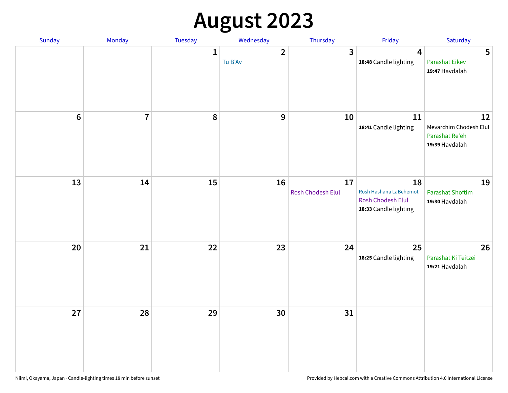# **August 2023**

| Sunday | Monday                  | Tuesday      | Wednesday               | Thursday                | Friday                                                                     | Saturday                                                         |
|--------|-------------------------|--------------|-------------------------|-------------------------|----------------------------------------------------------------------------|------------------------------------------------------------------|
|        |                         | $\mathbf{1}$ | $\mathbf{2}$<br>Tu B'Av | 3                       | $\overline{\mathbf{4}}$<br>18:48 Candle lighting                           | 5<br><b>Parashat Eikev</b><br>19:47 Havdalah                     |
| $6\,$  | $\overline{\mathbf{I}}$ | 8            | 9                       | 10                      | 11<br>18:41 Candle lighting                                                | 12<br>Mevarchim Chodesh Elul<br>Parashat Re'eh<br>19:39 Havdalah |
| 13     | 14                      | 15           | 16                      | 17<br>Rosh Chodesh Elul | 18<br>Rosh Hashana LaBehemot<br>Rosh Chodesh Elul<br>18:33 Candle lighting | 19<br><b>Parashat Shoftim</b><br>19:30 Havdalah                  |
| 20     | 21                      | 22           | 23                      | 24                      | 25<br>18:25 Candle lighting                                                | 26<br>Parashat Ki Teitzei<br>19:21 Havdalah                      |
| 27     | 28                      | 29           | 30                      | 31                      |                                                                            |                                                                  |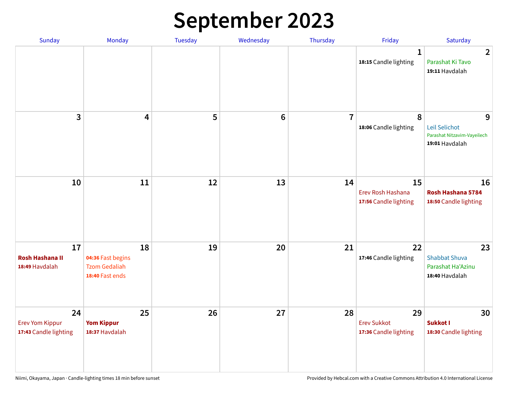# **September 2023**

| Sunday                                                | Monday                                                             | Tuesday | Wednesday       | Thursday       | Friday                                            | Saturday                                                            |
|-------------------------------------------------------|--------------------------------------------------------------------|---------|-----------------|----------------|---------------------------------------------------|---------------------------------------------------------------------|
|                                                       |                                                                    |         |                 |                | 1<br>18:15 Candle lighting                        | $\overline{2}$<br>Parashat Ki Tavo<br>19:11 Havdalah                |
| 3                                                     | $\overline{\mathbf{4}}$                                            | 5       | $6\phantom{1}6$ | $\overline{7}$ | 8<br>18:06 Candle lighting                        | 9<br>Leil Selichot<br>Parashat Nitzavim-Vayeilech<br>19:01 Havdalah |
| 10                                                    | 11                                                                 | 12      | 13              | 14             | 15<br>Erev Rosh Hashana<br>17:56 Candle lighting  | 16<br>Rosh Hashana 5784<br>18:50 Candle lighting                    |
| 17<br><b>Rosh Hashana II</b><br>18:49 Havdalah        | 18<br>04:36 Fast begins<br><b>Tzom Gedaliah</b><br>18:40 Fast ends | 19      | 20              | 21             | 22<br>17:46 Candle lighting                       | 23<br><b>Shabbat Shuva</b><br>Parashat Ha'Azinu<br>18:40 Havdalah   |
| 24<br><b>Erev Yom Kippur</b><br>17:43 Candle lighting | 25<br><b>Yom Kippur</b><br>18:37 Havdalah                          | 26      | 27              | 28             | 29<br><b>Erev Sukkot</b><br>17:36 Candle lighting | 30<br>Sukkot I<br>18:30 Candle lighting                             |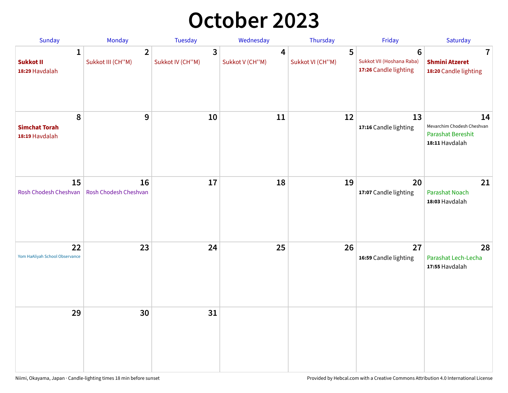## **October 2023**

| Sunday                                             | <b>Monday</b>                       | <b>Tuesday</b>        | Wednesday            | Thursday              | Friday                                                               | Saturday                                                                       |
|----------------------------------------------------|-------------------------------------|-----------------------|----------------------|-----------------------|----------------------------------------------------------------------|--------------------------------------------------------------------------------|
| $\mathbf{1}$<br><b>Sukkot II</b><br>18:29 Havdalah | $\overline{2}$<br>Sukkot III (CH"M) | 3<br>Sukkot IV (CH"M) | 4<br>Sukkot V (CH"M) | 5<br>Sukkot VI (CH"M) | $6\phantom{1}$<br>Sukkot VII (Hoshana Raba)<br>17:26 Candle lighting | 7<br><b>Shmini Atzeret</b><br>18:20 Candle lighting                            |
| 8<br><b>Simchat Torah</b><br>18:19 Havdalah        | $\boldsymbol{9}$                    | 10                    | 11                   | 12                    | 13<br>17:16 Candle lighting                                          | 14<br>Mevarchim Chodesh Cheshvan<br><b>Parashat Bereshit</b><br>18:11 Havdalah |
| 15<br>Rosh Chodesh Cheshvan                        | 16<br>Rosh Chodesh Cheshvan         | 17                    | 18                   | 19                    | 20<br>17:07 Candle lighting                                          | 21<br>Parashat Noach<br>18:03 Havdalah                                         |
| 22<br>Yom HaAliyah School Observance               | 23                                  | 24                    | 25                   | 26                    | 27<br>16:59 Candle lighting                                          | 28<br>Parashat Lech-Lecha<br>17:55 Havdalah                                    |
| 29                                                 | 30                                  | 31                    |                      |                       |                                                                      |                                                                                |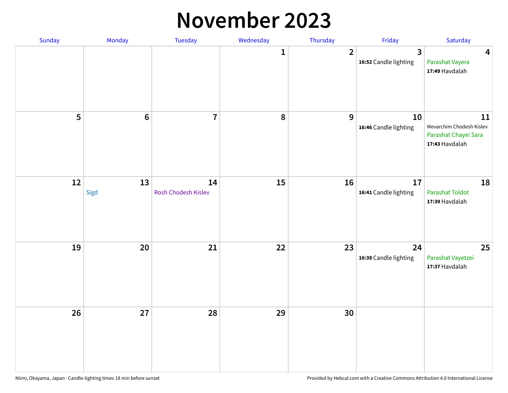#### **November 2023**

| Sunday | Monday     | Tuesday                   | Wednesday | Thursday       | Friday                                           | Saturday                                                                 |
|--------|------------|---------------------------|-----------|----------------|--------------------------------------------------|--------------------------------------------------------------------------|
|        |            |                           | 1         | $\overline{2}$ | $\overline{\mathbf{3}}$<br>16:52 Candle lighting | 4<br>Parashat Vayera<br>17:49 Havdalah                                   |
| 5      | $\bf 6$    | $\overline{7}$            | 8         | $\mathbf{9}$   | 10<br>16:46 Candle lighting                      | 11<br>Mevarchim Chodesh Kislev<br>Parashat Chayei Sara<br>17:43 Havdalah |
| 12     | 13<br>Sigd | 14<br>Rosh Chodesh Kislev | 15        | 16             | 17<br>16:41 Candle lighting                      | 18<br><b>Parashat Toldot</b><br>17:39 Havdalah                           |
| 19     | 20         | 21                        | 22        | 23             | 24<br>16:38 Candle lighting                      | 25<br>Parashat Vayetzei<br>17:37 Havdalah                                |
| 26     | 27         | 28                        | 29        | 30             |                                                  |                                                                          |